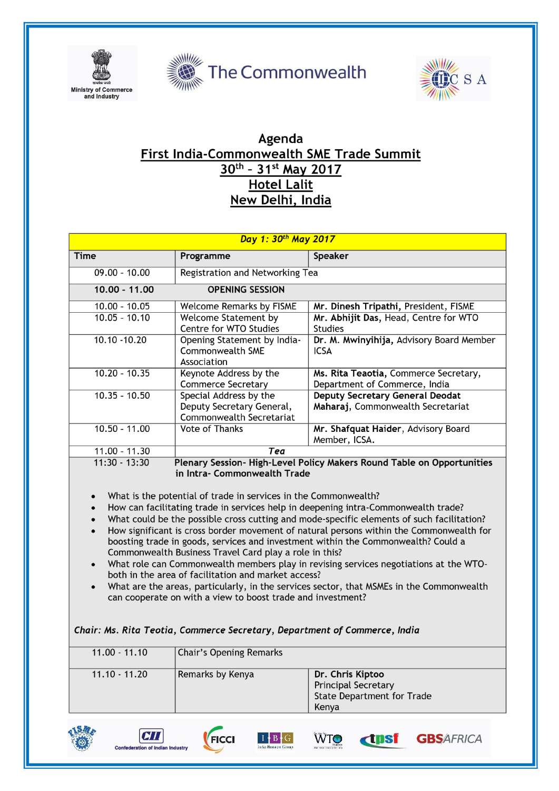





## Agenda First India-Commonwealth SME Trade Summit 30th - 31st May 2017 **Hotel Lalit** New Delhi, India

| Day 1: 30th May 2017                                                                                                                                                                                                                                                                                                                                                                                                                                                                                                                                                                                                                                                                                                                                                                                                                                                                                                                                                                                                                                    |                                                                       |                                                         |  |  |
|---------------------------------------------------------------------------------------------------------------------------------------------------------------------------------------------------------------------------------------------------------------------------------------------------------------------------------------------------------------------------------------------------------------------------------------------------------------------------------------------------------------------------------------------------------------------------------------------------------------------------------------------------------------------------------------------------------------------------------------------------------------------------------------------------------------------------------------------------------------------------------------------------------------------------------------------------------------------------------------------------------------------------------------------------------|-----------------------------------------------------------------------|---------------------------------------------------------|--|--|
| <b>Time</b>                                                                                                                                                                                                                                                                                                                                                                                                                                                                                                                                                                                                                                                                                                                                                                                                                                                                                                                                                                                                                                             | Programme                                                             | Speaker                                                 |  |  |
| $09.00 - 10.00$                                                                                                                                                                                                                                                                                                                                                                                                                                                                                                                                                                                                                                                                                                                                                                                                                                                                                                                                                                                                                                         | Registration and Networking Tea                                       |                                                         |  |  |
| $10.00 - 11.00$                                                                                                                                                                                                                                                                                                                                                                                                                                                                                                                                                                                                                                                                                                                                                                                                                                                                                                                                                                                                                                         | <b>OPENING SESSION</b>                                                |                                                         |  |  |
| $10.00 - 10.05$                                                                                                                                                                                                                                                                                                                                                                                                                                                                                                                                                                                                                                                                                                                                                                                                                                                                                                                                                                                                                                         | <b>Welcome Remarks by FISME</b>                                       | Mr. Dinesh Tripathi, President, FISME                   |  |  |
| $10.05 - 10.10$                                                                                                                                                                                                                                                                                                                                                                                                                                                                                                                                                                                                                                                                                                                                                                                                                                                                                                                                                                                                                                         | <b>Welcome Statement by</b><br>Centre for WTO Studies                 | Mr. Abhijit Das, Head, Centre for WTO<br><b>Studies</b> |  |  |
| $10.10 - 10.20$                                                                                                                                                                                                                                                                                                                                                                                                                                                                                                                                                                                                                                                                                                                                                                                                                                                                                                                                                                                                                                         | Opening Statement by India-<br><b>Commonwealth SME</b><br>Association | Dr. M. Mwinyihija, Advisory Board Member<br><b>ICSA</b> |  |  |
| $10.20 - 10.35$                                                                                                                                                                                                                                                                                                                                                                                                                                                                                                                                                                                                                                                                                                                                                                                                                                                                                                                                                                                                                                         | Keynote Address by the                                                | Ms. Rita Teaotia, Commerce Secretary,                   |  |  |
|                                                                                                                                                                                                                                                                                                                                                                                                                                                                                                                                                                                                                                                                                                                                                                                                                                                                                                                                                                                                                                                         | <b>Commerce Secretary</b>                                             | Department of Commerce, India                           |  |  |
| $10.35 - 10.50$                                                                                                                                                                                                                                                                                                                                                                                                                                                                                                                                                                                                                                                                                                                                                                                                                                                                                                                                                                                                                                         | Special Address by the                                                | <b>Deputy Secretary General Deodat</b>                  |  |  |
|                                                                                                                                                                                                                                                                                                                                                                                                                                                                                                                                                                                                                                                                                                                                                                                                                                                                                                                                                                                                                                                         | Deputy Secretary General,<br>Commonwealth Secretariat                 | Maharaj, Commonwealth Secretariat                       |  |  |
| $10.50 - 11.00$                                                                                                                                                                                                                                                                                                                                                                                                                                                                                                                                                                                                                                                                                                                                                                                                                                                                                                                                                                                                                                         | <b>Vote of Thanks</b>                                                 | Mr. Shafquat Haider, Advisory Board                     |  |  |
|                                                                                                                                                                                                                                                                                                                                                                                                                                                                                                                                                                                                                                                                                                                                                                                                                                                                                                                                                                                                                                                         |                                                                       | Member, ICSA.                                           |  |  |
| $11.00 - 11.30$                                                                                                                                                                                                                                                                                                                                                                                                                                                                                                                                                                                                                                                                                                                                                                                                                                                                                                                                                                                                                                         | Tea                                                                   |                                                         |  |  |
| $11:30 - 13:30$<br>Plenary Session-High-Level Policy Makers Round Table on Opportunities<br>in Intra- Commonwealth Trade<br>What is the potential of trade in services in the Commonwealth?<br>$\bullet$<br>How can facilitating trade in services help in deepening intra-Commonwealth trade?<br>What could be the possible cross cutting and mode-specific elements of such facilitation?<br>How significant is cross border movement of natural persons within the Commonwealth for<br>boosting trade in goods, services and investment within the Commonwealth? Could a<br>Commonwealth Business Travel Card play a role in this?<br>What role can Commonwealth members play in revising services negotiations at the WTO-<br>$\bullet$<br>both in the area of facilitation and market access?<br>What are the areas, particularly, in the services sector, that MSMEs in the Commonwealth<br>$\bullet$<br>can cooperate on with a view to boost trade and investment?<br>Chair: Ms. Rita Teotia, Commerce Secretary, Department of Commerce, India |                                                                       |                                                         |  |  |
| $11.00 - 11.10$                                                                                                                                                                                                                                                                                                                                                                                                                                                                                                                                                                                                                                                                                                                                                                                                                                                                                                                                                                                                                                         | <b>Chair's Opening Remarks</b>                                        |                                                         |  |  |
|                                                                                                                                                                                                                                                                                                                                                                                                                                                                                                                                                                                                                                                                                                                                                                                                                                                                                                                                                                                                                                                         | $\overline{\phantom{a}}$                                              |                                                         |  |  |



 $I + B + G$ 

**WTO** 

**dpsf** 

**GBSAFRICA** 

 $CTI$ 

ederation of Indian Industry

FICCI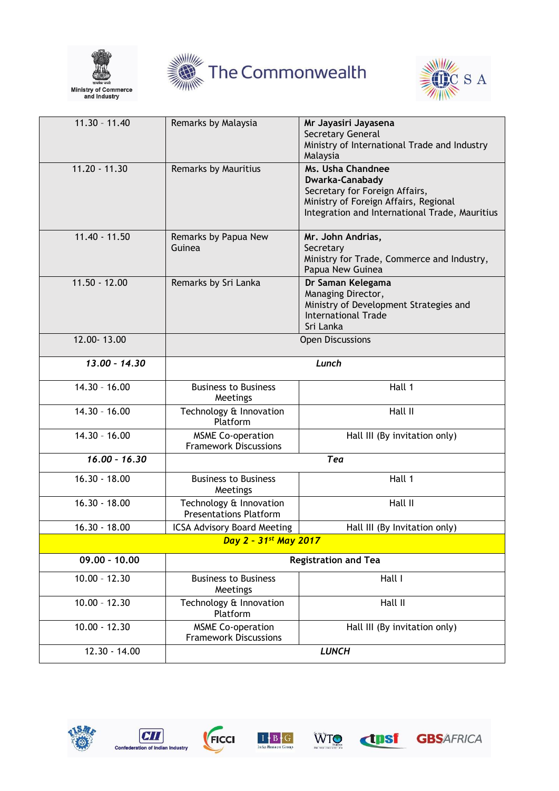





| $11.30 - 11.40$                   | Remarks by Malaysia                                      | Mr Jayasiri Jayasena<br>Secretary General<br>Ministry of International Trade and Industry<br>Malaysia                                                             |  |  |
|-----------------------------------|----------------------------------------------------------|-------------------------------------------------------------------------------------------------------------------------------------------------------------------|--|--|
| $11.20 - 11.30$                   | Remarks by Mauritius                                     | Ms. Usha Chandnee<br>Dwarka-Canabady<br>Secretary for Foreign Affairs,<br>Ministry of Foreign Affairs, Regional<br>Integration and International Trade, Mauritius |  |  |
| $11.40 - 11.50$                   | Remarks by Papua New<br>Guinea                           | Mr. John Andrias,<br>Secretary<br>Ministry for Trade, Commerce and Industry,<br>Papua New Guinea                                                                  |  |  |
| $11.50 - 12.00$                   | Remarks by Sri Lanka                                     | Dr Saman Kelegama<br>Managing Director,<br>Ministry of Development Strategies and<br><b>International Trade</b><br>Sri Lanka                                      |  |  |
| 12.00-13.00                       | <b>Open Discussions</b>                                  |                                                                                                                                                                   |  |  |
| $13.00 - 14.30$                   | Lunch                                                    |                                                                                                                                                                   |  |  |
| $14.30 - 16.00$                   | <b>Business to Business</b><br>Meetings                  | Hall 1                                                                                                                                                            |  |  |
| $14.30 - 16.00$                   | Technology & Innovation<br>Platform                      | Hall II                                                                                                                                                           |  |  |
| $14.30 - 16.00$                   | <b>MSME Co-operation</b><br><b>Framework Discussions</b> | Hall III (By invitation only)                                                                                                                                     |  |  |
| $16.00 - 16.30$                   | Tea                                                      |                                                                                                                                                                   |  |  |
| $16.30 - 18.00$                   | <b>Business to Business</b><br>Meetings                  | Hall 1                                                                                                                                                            |  |  |
| $16.30 - 18.00$                   | Technology & Innovation<br><b>Presentations Platform</b> | Hall II                                                                                                                                                           |  |  |
| $16.30 - 18.00$                   | <b>ICSA Advisory Board Meeting</b>                       | Hall III (By Invitation only)                                                                                                                                     |  |  |
| Day 2 - 31 <sup>st</sup> May 2017 |                                                          |                                                                                                                                                                   |  |  |
| $09.00 - 10.00$                   | <b>Registration and Tea</b>                              |                                                                                                                                                                   |  |  |
| $10.00 - 12.30$                   | <b>Business to Business</b><br>Meetings                  | Hall I                                                                                                                                                            |  |  |
| $10.00 - 12.30$                   | Technology & Innovation<br>Platform                      | Hall II                                                                                                                                                           |  |  |
| $10.00 - 12.30$                   | <b>MSME Co-operation</b><br><b>Framework Discussions</b> | Hall III (By invitation only)                                                                                                                                     |  |  |
| $12.30 - 14.00$                   | <b>LUNCH</b>                                             |                                                                                                                                                                   |  |  |







WTO

**Expert** 

**GBS**AFRICA